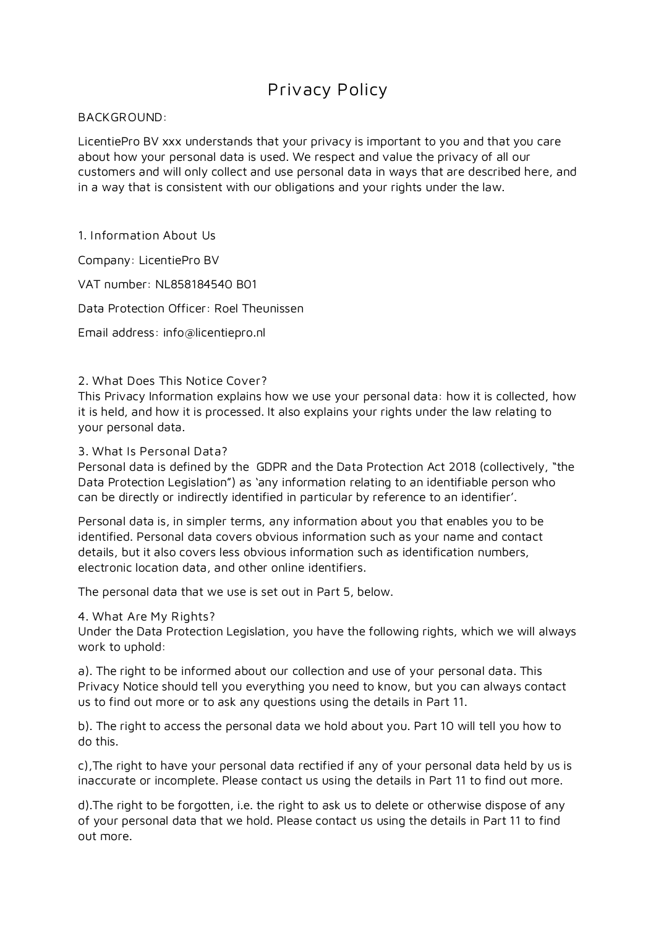# **Privacy Policy**

### **BACKGROUND:**

LicentiePro BV xxx understands that your privacy is important to you and that you care about how your personal data is used. We respect and value the privacy of all our customers and will only collect and use personal data in ways that are described here, and in a way that is consistent with our obligations and your rights under the law.

**1. Information About Us**

Company: LicentiePro BV

VAT number: NL858184540 B01

Data Protection Officer: Roel Theunissen

Email address: info@licentiepro.nl

### **2. What Does This Notice Cover?**

This Privacy Information explains how we use your personal data: how it is collected, how it is held, and how it is processed. It also explains your rights under the law relating to your personal data.

### **3. What Is Personal Data?**

Personal data is defined by the GDPR and the Data Protection Act 2018 (collectively, "the Data Protection Legislation") as 'any information relating to an identifiable person who can be directly or indirectly identified in particular by reference to an identifier'.

Personal data is, in simpler terms, any information about you that enables you to be identified. Personal data covers obvious information such as your name and contact details, but it also covers less obvious information such as identification numbers, electronic location data, and other online identifiers.

The personal data that we use is set out in Part 5, below.

**4. What Are My Rights?**

Under the Data Protection Legislation, you have the following rights, which we will always work to uphold:

a). The right to be informed about our collection and use of your personal data. This Privacy Notice should tell you everything you need to know, but you can always contact us to find out more or to ask any questions using the details in Part 11.

b). The right to access the personal data we hold about you. Part 10 will tell you how to do this.

c),The right to have your personal data rectified if any of your personal data held by us is inaccurate or incomplete. Please contact us using the details in Part 11 to find out more.

d).The right to be forgotten, i.e. the right to ask us to delete or otherwise dispose of any of your personal data that we hold. Please contact us using the details in Part 11 to find out more.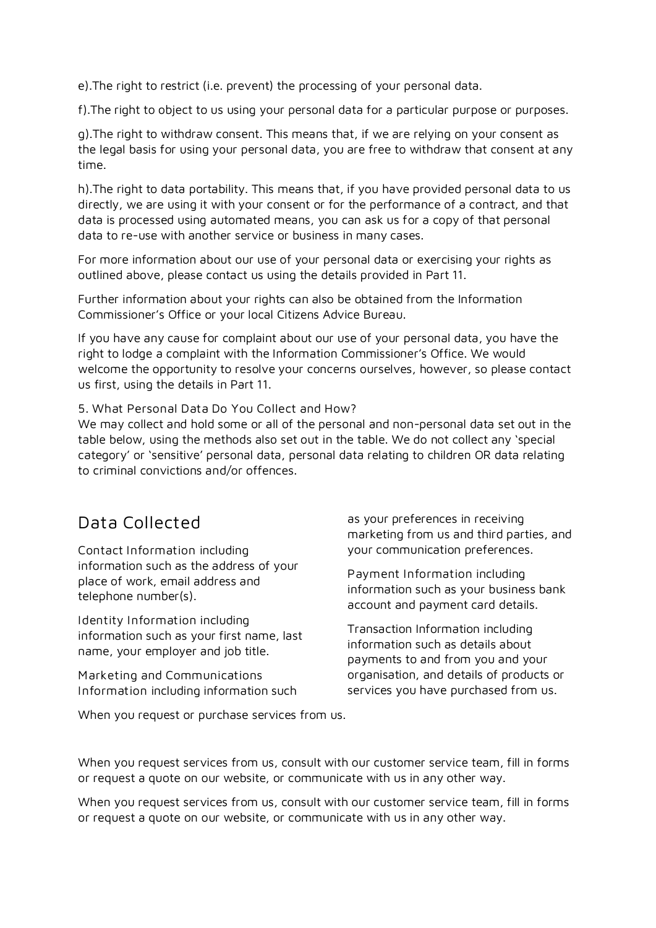e).The right to restrict (i.e. prevent) the processing of your personal data.

f).The right to object to us using your personal data for a particular purpose or purposes.

g).The right to withdraw consent. This means that, if we are relying on your consent as the legal basis for using your personal data, you are free to withdraw that consent at any time.

h).The right to data portability. This means that, if you have provided personal data to us directly, we are using it with your consent or for the performance of a contract, and that data is processed using automated means, you can ask us for a copy of that personal data to re-use with another service or business in many cases.

For more information about our use of your personal data or exercising your rights as outlined above, please contact us using the details provided in Part 11.

Further information about your rights can also be obtained from the Information Commissioner's Office or your local Citizens Advice Bureau.

If you have any cause for complaint about our use of your personal data, you have the right to lodge a complaint with the Information Commissioner's Office. We would welcome the opportunity to resolve your concerns ourselves, however, so please contact us first, using the details in Part 11.

### **5. What Personal Data Do You Collect and How?**

We may collect and hold some or all of the personal and non-personal data set out in the table below, using the methods also set out in the table. We do not collect any 'special category' or 'sensitive' personal data, personal data relating to children OR data relating to criminal convictions and/or offences.

## **Data Collected**

**Contact Information** including information such as the address of your place of work, email address and telephone number(s).

**Identity Information** including information such as your first name, last name, your employer and job title.

**Marketing and Communications Information** including information such

When you request or purchase services from us.

as your preferences in receiving marketing from us and third parties, and your communication preferences.

**Payment Information** including information such as your business bank account and payment card details.

Transaction Information including information such as details about payments to and from you and your organisation, and details of products or services you have purchased from us.

When you request services from us, consult with our customer service team, fill in forms or request a quote on our website, or communicate with us in any other way.

When you request services from us, consult with our customer service team, fill in forms or request a quote on our website, or communicate with us in any other way.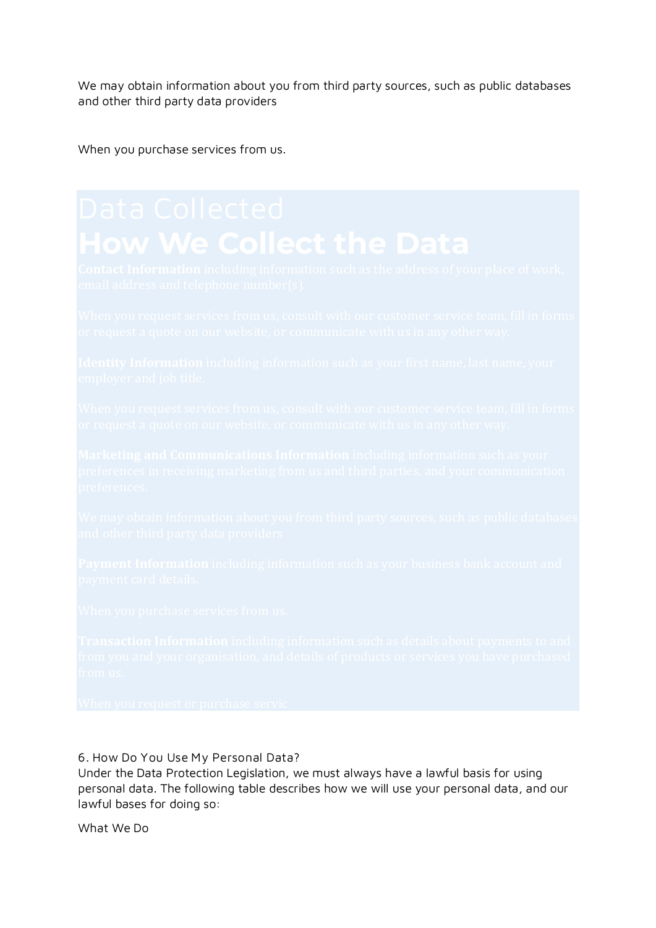We may obtain information about you from third party sources, such as public databases and other third party data providers

When you purchase services from us.

### **6. How Do You Use My Personal Data?**

Under the Data Protection Legislation, we must always have a lawful basis for using personal data. The following table describes how we will use your personal data, and our lawful bases for doing so:

What We Do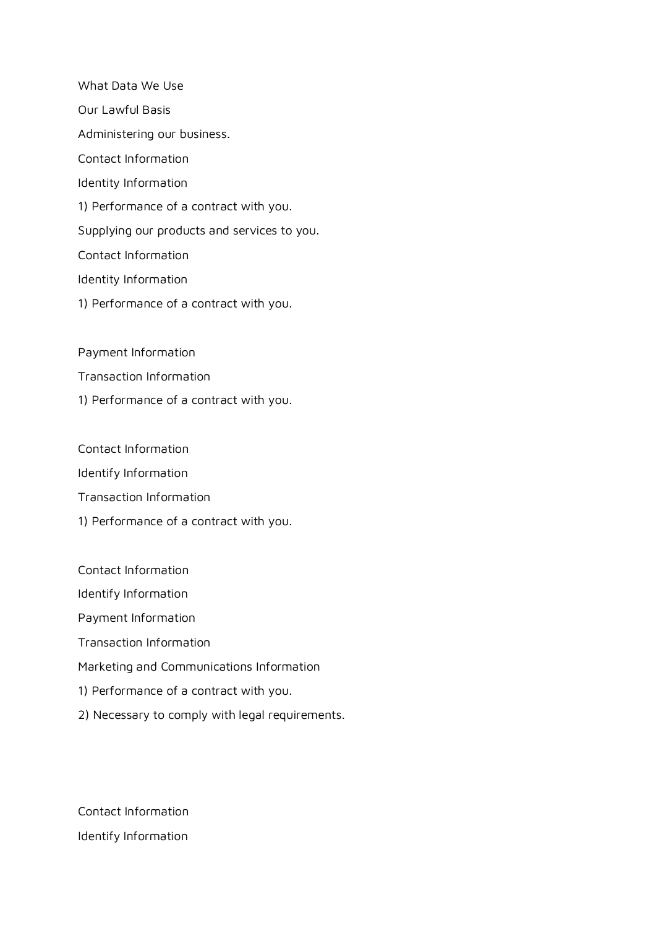What Data We Use Our Lawful Basis Administering our business. Contact Information Identity Information 1) Performance of a contract with you. Supplying our products and services to you. Contact Information Identity Information 1) Performance of a contract with you.

Payment Information

- Transaction Information
- 1) Performance of a contract with you.

Contact Information

Identify Information

- Transaction Information
- 1) Performance of a contract with you.
- Contact Information Identify Information Payment Information Transaction Information Marketing and Communications Information 1) Performance of a contract with you. 2) Necessary to comply with legal requirements.

Contact Information Identify Information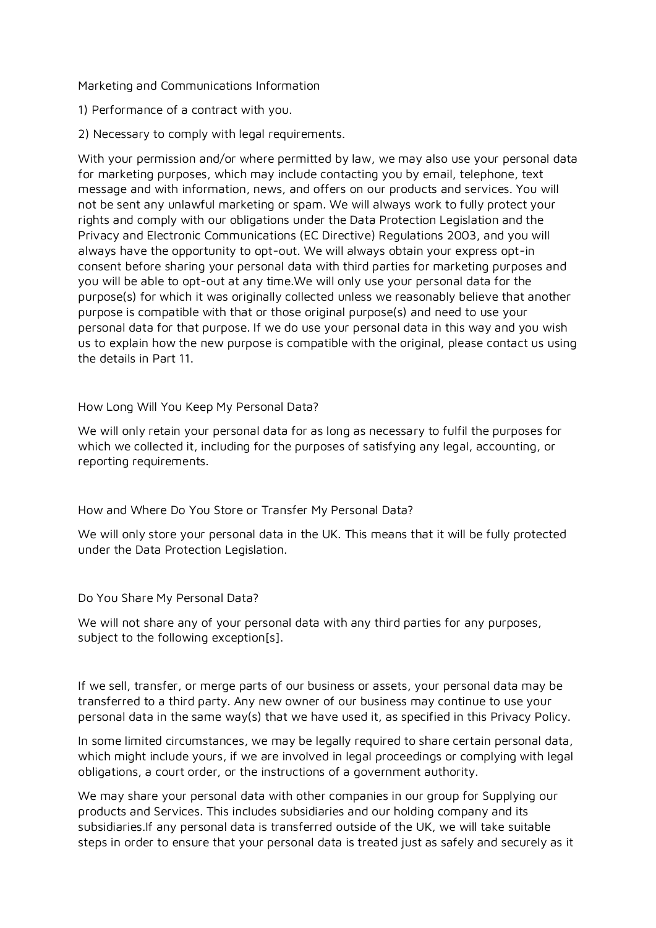Marketing and Communications Information

1) Performance of a contract with you.

2) Necessary to comply with legal requirements.

With your permission and/or where permitted by law, we may also use your personal data for marketing purposes, which may include contacting you by email, telephone, text message and with information, news, and offers on our products and services. You will not be sent any unlawful marketing or spam. We will always work to fully protect your rights and comply with our obligations under the Data Protection Legislation and the Privacy and Electronic Communications (EC Directive) Regulations 2003, and you will always have the opportunity to opt-out. We will always obtain your express opt-in consent before sharing your personal data with third parties for marketing purposes and you will be able to opt-out at any time.We will only use your personal data for the purpose(s) for which it was originally collected unless we reasonably believe that another purpose is compatible with that or those original purpose(s) and need to use your personal data for that purpose. If we do use your personal data in this way and you wish us to explain how the new purpose is compatible with the original, please contact us using the details in Part 11.

### How Long Will You Keep My Personal Data?

We will only retain your personal data for as long as necessary to fulfil the purposes for which we collected it, including for the purposes of satisfying any legal, accounting, or reporting requirements.

How and Where Do You Store or Transfer My Personal Data?

We will only store your personal data in the UK. This means that it will be fully protected under the Data Protection Legislation.

Do You Share My Personal Data?

We will not share any of your personal data with any third parties for any purposes, subject to the following exception[s].

If we sell, transfer, or merge parts of our business or assets, your personal data may be transferred to a third party. Any new owner of our business may continue to use your personal data in the same way(s) that we have used it, as specified in this Privacy Policy.

In some limited circumstances, we may be legally required to share certain personal data, which might include yours, if we are involved in legal proceedings or complying with legal obligations, a court order, or the instructions of a government authority.

We may share your personal data with other companies in our group for Supplying our products and Services. This includes subsidiaries and our holding company and its subsidiaries.If any personal data is transferred outside of the UK, we will take suitable steps in order to ensure that your personal data is treated just as safely and securely as it